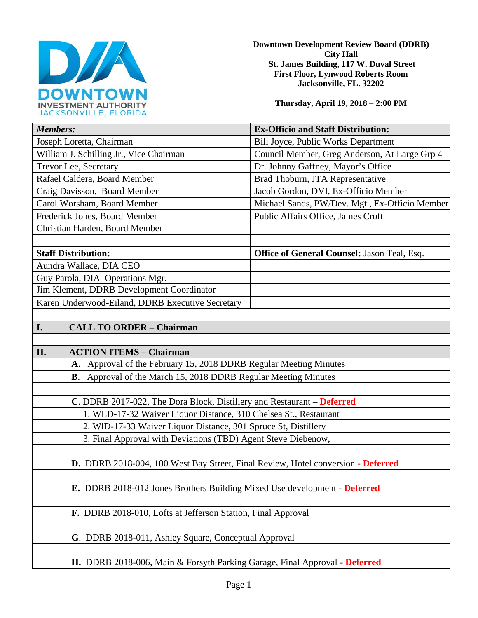

**Downtown Development Review Board (DDRB) City Hall St. James Building, 117 W. Duval Street First Floor, Lynwood Roberts Room Jacksonville, FL. 32202** 

**Thursday, April 19, 2018 – 2:00 PM**

| <b>Members:</b>                                                                  | <b>Ex-Officio and Staff Distribution:</b>          |
|----------------------------------------------------------------------------------|----------------------------------------------------|
| Joseph Loretta, Chairman                                                         | Bill Joyce, Public Works Department                |
| William J. Schilling Jr., Vice Chairman                                          | Council Member, Greg Anderson, At Large Grp 4      |
| Trevor Lee, Secretary                                                            | Dr. Johnny Gaffney, Mayor's Office                 |
| Rafael Caldera, Board Member                                                     | Brad Thoburn, JTA Representative                   |
| Craig Davisson, Board Member                                                     | Jacob Gordon, DVI, Ex-Officio Member               |
| Carol Worsham, Board Member                                                      | Michael Sands, PW/Dev. Mgt., Ex-Officio Member     |
| Frederick Jones, Board Member                                                    | Public Affairs Office, James Croft                 |
| Christian Harden, Board Member                                                   |                                                    |
|                                                                                  |                                                    |
| <b>Staff Distribution:</b>                                                       | <b>Office of General Counsel: Jason Teal, Esq.</b> |
| Aundra Wallace, DIA CEO                                                          |                                                    |
| Guy Parola, DIA Operations Mgr.                                                  |                                                    |
| Jim Klement, DDRB Development Coordinator                                        |                                                    |
| Karen Underwood-Eiland, DDRB Executive Secretary                                 |                                                    |
|                                                                                  |                                                    |
| I.<br><b>CALL TO ORDER - Chairman</b>                                            |                                                    |
|                                                                                  |                                                    |
| II.<br><b>ACTION ITEMS - Chairman</b>                                            |                                                    |
| A. Approval of the February 15, 2018 DDRB Regular Meeting Minutes                |                                                    |
| B. Approval of the March 15, 2018 DDRB Regular Meeting Minutes                   |                                                    |
|                                                                                  |                                                    |
| C. DDRB 2017-022, The Dora Block, Distillery and Restaurant – Deferred           |                                                    |
| 1. WLD-17-32 Waiver Liquor Distance, 310 Chelsea St., Restaurant                 |                                                    |
| 2. WID-17-33 Waiver Liquor Distance, 301 Spruce St, Distillery                   |                                                    |
| 3. Final Approval with Deviations (TBD) Agent Steve Diebenow,                    |                                                    |
|                                                                                  |                                                    |
| D. DDRB 2018-004, 100 West Bay Street, Final Review, Hotel conversion - Deferred |                                                    |
|                                                                                  |                                                    |
| E. DDRB 2018-012 Jones Brothers Building Mixed Use development - Deferred        |                                                    |
|                                                                                  |                                                    |
| F. DDRB 2018-010, Lofts at Jefferson Station, Final Approval                     |                                                    |
|                                                                                  |                                                    |
| G. DDRB 2018-011, Ashley Square, Conceptual Approval                             |                                                    |
|                                                                                  |                                                    |
| H. DDRB 2018-006, Main & Forsyth Parking Garage, Final Approval - Deferred       |                                                    |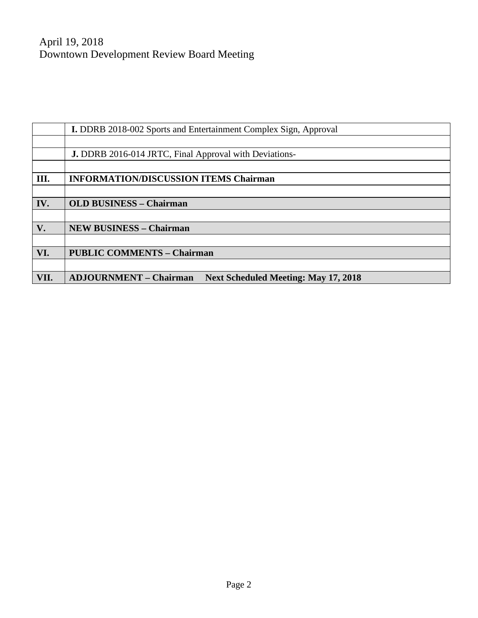|      | <b>I.</b> DDRB 2018-002 Sports and Entertainment Complex Sign, Approval      |  |
|------|------------------------------------------------------------------------------|--|
|      |                                                                              |  |
|      | <b>J.</b> DDRB 2016-014 JRTC, Final Approval with Deviations-                |  |
|      |                                                                              |  |
| III. | <b>INFORMATION/DISCUSSION ITEMS Chairman</b>                                 |  |
|      |                                                                              |  |
| IV.  | <b>OLD BUSINESS - Chairman</b>                                               |  |
|      |                                                                              |  |
| V.   | <b>NEW BUSINESS - Chairman</b>                                               |  |
|      |                                                                              |  |
| VI.  | <b>PUBLIC COMMENTS - Chairman</b>                                            |  |
|      |                                                                              |  |
| VII. | <b>ADJOURNMENT – Chairman</b><br><b>Next Scheduled Meeting: May 17, 2018</b> |  |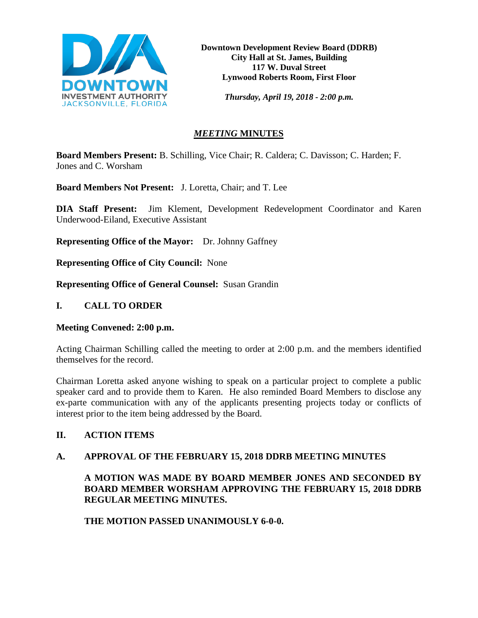

**Downtown Development Review Board (DDRB) City Hall at St. James, Building 117 W. Duval Street Lynwood Roberts Room, First Floor**

*Thursday, April 19, 2018 - 2:00 p.m.*

# *MEETING* **MINUTES**

**Board Members Present:** B. Schilling, Vice Chair; R. Caldera; C. Davisson; C. Harden; F. Jones and C. Worsham

**Board Members Not Present:** J. Loretta, Chair; and T. Lee

**DIA Staff Present:** Jim Klement, Development Redevelopment Coordinator and Karen Underwood-Eiland, Executive Assistant

**Representing Office of the Mayor:** Dr. Johnny Gaffney

**Representing Office of City Council:** None

**Representing Office of General Counsel:** Susan Grandin

#### **I. CALL TO ORDER**

#### **Meeting Convened: 2:00 p.m.**

Acting Chairman Schilling called the meeting to order at 2:00 p.m. and the members identified themselves for the record.

Chairman Loretta asked anyone wishing to speak on a particular project to complete a public speaker card and to provide them to Karen. He also reminded Board Members to disclose any ex-parte communication with any of the applicants presenting projects today or conflicts of interest prior to the item being addressed by the Board.

# **II. ACTION ITEMS**

#### **A. APPROVAL OF THE FEBRUARY 15, 2018 DDRB MEETING MINUTES**

# **A MOTION WAS MADE BY BOARD MEMBER JONES AND SECONDED BY BOARD MEMBER WORSHAM APPROVING THE FEBRUARY 15, 2018 DDRB REGULAR MEETING MINUTES.**

**THE MOTION PASSED UNANIMOUSLY 6-0-0.**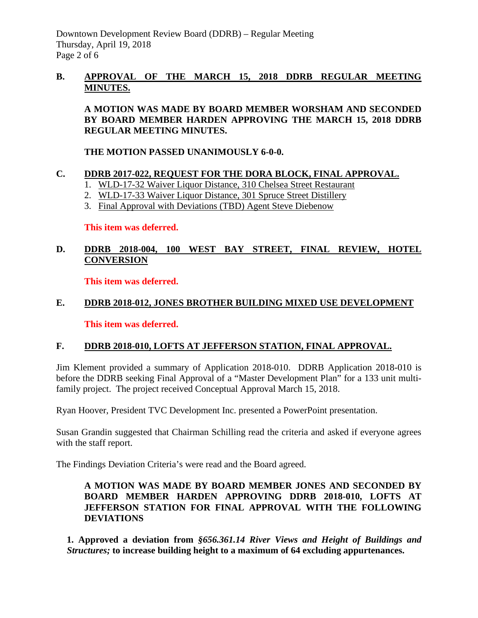## **B. APPROVAL OF THE MARCH 15, 2018 DDRB REGULAR MEETING MINUTES.**

**A MOTION WAS MADE BY BOARD MEMBER WORSHAM AND SECONDED BY BOARD MEMBER HARDEN APPROVING THE MARCH 15, 2018 DDRB REGULAR MEETING MINUTES.** 

**THE MOTION PASSED UNANIMOUSLY 6-0-0.** 

#### **C. DDRB 2017-022, REQUEST FOR THE DORA BLOCK, FINAL APPROVAL.**

- 1. WLD-17-32 Waiver Liquor Distance, 310 Chelsea Street Restaurant
- 2. WLD-17-33 Waiver Liquor Distance, 301 Spruce Street Distillery
- 3. Final Approval with Deviations (TBD) Agent Steve Diebenow

**This item was deferred.**

# **D. DDRB 2018-004, 100 WEST BAY STREET, FINAL REVIEW, HOTEL CONVERSION**

**This item was deferred.** 

# **E. DDRB 2018-012, JONES BROTHER BUILDING MIXED USE DEVELOPMENT**

**This item was deferred.**

# **F. DDRB 2018-010, LOFTS AT JEFFERSON STATION, FINAL APPROVAL.**

Jim Klement provided a summary of Application 2018-010. DDRB Application 2018-010 is before the DDRB seeking Final Approval of a "Master Development Plan" for a 133 unit multifamily project. The project received Conceptual Approval March 15, 2018.

Ryan Hoover, President TVC Development Inc. presented a PowerPoint presentation.

Susan Grandin suggested that Chairman Schilling read the criteria and asked if everyone agrees with the staff report.

The Findings Deviation Criteria's were read and the Board agreed.

#### **A MOTION WAS MADE BY BOARD MEMBER JONES AND SECONDED BY BOARD MEMBER HARDEN APPROVING DDRB 2018-010, LOFTS AT JEFFERSON STATION FOR FINAL APPROVAL WITH THE FOLLOWING DEVIATIONS**

**1. Approved a deviation from** *§656.361.14 River Views and Height of Buildings and Structures;* **to increase building height to a maximum of 64 excluding appurtenances.**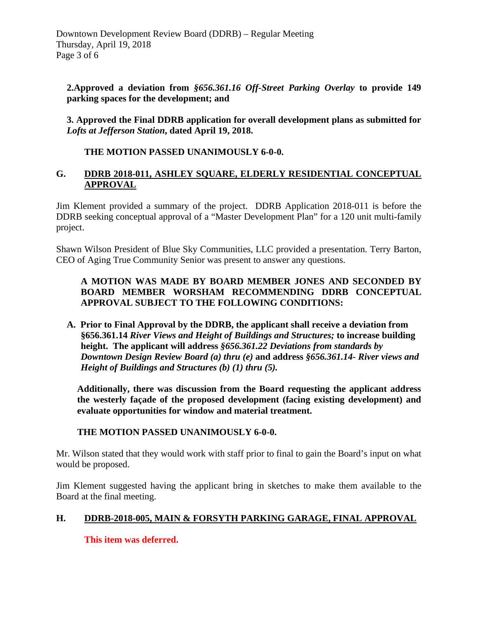**2.Approved a deviation from** *§656.361.16 Off-Street Parking Overlay* **to provide 149 parking spaces for the development; and** 

**3. Approved the Final DDRB application for overall development plans as submitted for**  *Lofts at Jefferson Station***, dated April 19, 2018.**

**THE MOTION PASSED UNANIMOUSLY 6-0-0.** 

# **G. DDRB 2018-011, ASHLEY SQUARE, ELDERLY RESIDENTIAL CONCEPTUAL APPROVAL**

Jim Klement provided a summary of the project. DDRB Application 2018-011 is before the DDRB seeking conceptual approval of a "Master Development Plan" for a 120 unit multi-family project.

Shawn Wilson President of Blue Sky Communities, LLC provided a presentation. Terry Barton, CEO of Aging True Community Senior was present to answer any questions.

# **A MOTION WAS MADE BY BOARD MEMBER JONES AND SECONDED BY BOARD MEMBER WORSHAM RECOMMENDING DDRB CONCEPTUAL APPROVAL SUBJECT TO THE FOLLOWING CONDITIONS:**

**A. Prior to Final Approval by the DDRB, the applicant shall receive a deviation from §656.361.14** *River Views and Height of Buildings and Structures;* **to increase building height. The applicant will address** *§656.361.22 Deviations from standards by Downtown Design Review Board (a) thru (e)* **and address** *§656.361.14- River views and Height of Buildings and Structures (b) (1) thru (5).*

 **Additionally, there was discussion from the Board requesting the applicant address the westerly façade of the proposed development (facing existing development) and evaluate opportunities for window and material treatment.** 

# **THE MOTION PASSED UNANIMOUSLY 6-0-0.**

Mr. Wilson stated that they would work with staff prior to final to gain the Board's input on what would be proposed.

Jim Klement suggested having the applicant bring in sketches to make them available to the Board at the final meeting.

# **H. DDRB-2018-005, MAIN & FORSYTH PARKING GARAGE, FINAL APPROVAL**

# **This item was deferred.**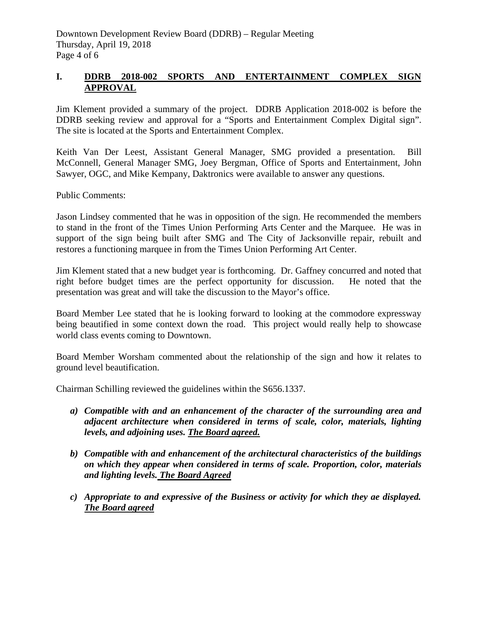# **I. DDRB 2018-002 SPORTS AND ENTERTAINMENT COMPLEX SIGN APPROVAL**

Jim Klement provided a summary of the project. DDRB Application 2018-002 is before the DDRB seeking review and approval for a "Sports and Entertainment Complex Digital sign". The site is located at the Sports and Entertainment Complex.

Keith Van Der Leest, Assistant General Manager, SMG provided a presentation. Bill McConnell, General Manager SMG, Joey Bergman, Office of Sports and Entertainment, John Sawyer, OGC, and Mike Kempany, Daktronics were available to answer any questions.

Public Comments:

Jason Lindsey commented that he was in opposition of the sign. He recommended the members to stand in the front of the Times Union Performing Arts Center and the Marquee. He was in support of the sign being built after SMG and The City of Jacksonville repair, rebuilt and restores a functioning marquee in from the Times Union Performing Art Center.

Jim Klement stated that a new budget year is forthcoming. Dr. Gaffney concurred and noted that right before budget times are the perfect opportunity for discussion. He noted that the presentation was great and will take the discussion to the Mayor's office.

Board Member Lee stated that he is looking forward to looking at the commodore expressway being beautified in some context down the road. This project would really help to showcase world class events coming to Downtown.

Board Member Worsham commented about the relationship of the sign and how it relates to ground level beautification.

Chairman Schilling reviewed the guidelines within the S656.1337.

- *a) Compatible with and an enhancement of the character of the surrounding area and adjacent architecture when considered in terms of scale, color, materials, lighting levels, and adjoining uses. The Board agreed.*
- *b) Compatible with and enhancement of the architectural characteristics of the buildings on which they appear when considered in terms of scale. Proportion, color, materials and lighting levels. The Board Agreed*
- *c) Appropriate to and expressive of the Business or activity for which they ae displayed. The Board agreed*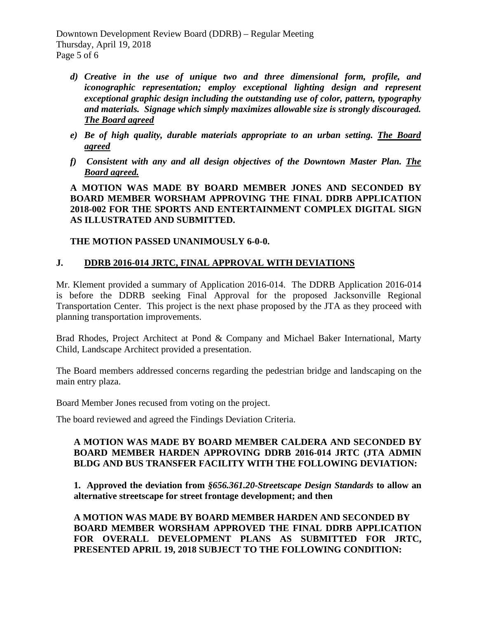Downtown Development Review Board (DDRB) – Regular Meeting Thursday, April 19, 2018 Page 5 of 6

- *d) Creative in the use of unique two and three dimensional form, profile, and iconographic representation; employ exceptional lighting design and represent exceptional graphic design including the outstanding use of color, pattern, typography and materials. Signage which simply maximizes allowable size is strongly discouraged. The Board agreed*
- *e) Be of high quality, durable materials appropriate to an urban setting. The Board agreed*
- *f) Consistent with any and all design objectives of the Downtown Master Plan. The Board agreed.*

**A MOTION WAS MADE BY BOARD MEMBER JONES AND SECONDED BY BOARD MEMBER WORSHAM APPROVING THE FINAL DDRB APPLICATION 2018-002 FOR THE SPORTS AND ENTERTAINMENT COMPLEX DIGITAL SIGN AS ILLUSTRATED AND SUBMITTED.** 

# **THE MOTION PASSED UNANIMOUSLY 6-0-0.**

# **J. DDRB 2016-014 JRTC, FINAL APPROVAL WITH DEVIATIONS**

Mr. Klement provided a summary of Application 2016-014. The DDRB Application 2016-014 is before the DDRB seeking Final Approval for the proposed Jacksonville Regional Transportation Center. This project is the next phase proposed by the JTA as they proceed with planning transportation improvements.

Brad Rhodes, Project Architect at Pond & Company and Michael Baker International, Marty Child, Landscape Architect provided a presentation.

The Board members addressed concerns regarding the pedestrian bridge and landscaping on the main entry plaza.

Board Member Jones recused from voting on the project.

The board reviewed and agreed the Findings Deviation Criteria.

#### **A MOTION WAS MADE BY BOARD MEMBER CALDERA AND SECONDED BY BOARD MEMBER HARDEN APPROVING DDRB 2016-014 JRTC (JTA ADMIN BLDG AND BUS TRANSFER FACILITY WITH THE FOLLOWING DEVIATION:**

**1. Approved the deviation from** *§656.361.20-Streetscape Design Standards* **to allow an alternative streetscape for street frontage development; and then**

**A MOTION WAS MADE BY BOARD MEMBER HARDEN AND SECONDED BY BOARD MEMBER WORSHAM APPROVED THE FINAL DDRB APPLICATION FOR OVERALL DEVELOPMENT PLANS AS SUBMITTED FOR JRTC, PRESENTED APRIL 19, 2018 SUBJECT TO THE FOLLOWING CONDITION:**